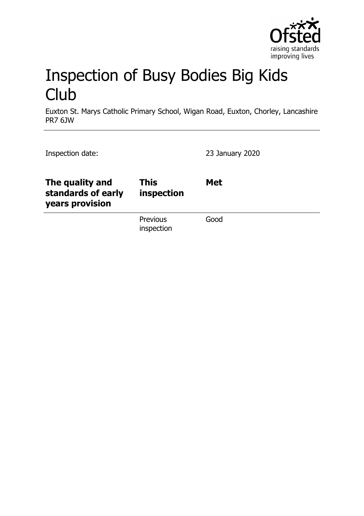

# Inspection of Busy Bodies Big Kids **Club**

Euxton St. Marys Catholic Primary School, Wigan Road, Euxton, Chorley, Lancashire PR7 6JW

| Inspection date:                                         |                           | 23 January 2020 |
|----------------------------------------------------------|---------------------------|-----------------|
| The quality and<br>standards of early<br>years provision | <b>This</b><br>inspection | <b>Met</b>      |
|                                                          | Previous<br>inspection    | Good            |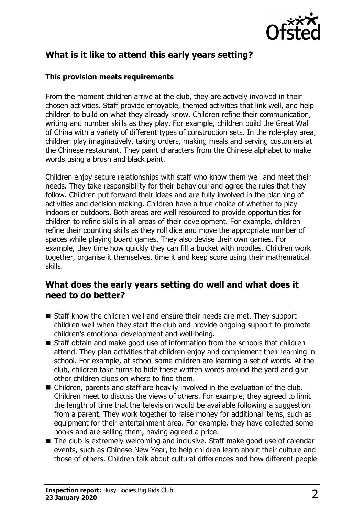

# **What is it like to attend this early years setting?**

#### **This provision meets requirements**

From the moment children arrive at the club, they are actively involved in their chosen activities. Staff provide enjoyable, themed activities that link well, and help children to build on what they already know. Children refine their communication, writing and number skills as they play. For example, children build the Great Wall of China with a variety of different types of construction sets. In the role-play area, children play imaginatively, taking orders, making meals and serving customers at the Chinese restaurant. They paint characters from the Chinese alphabet to make words using a brush and black paint.

Children enjoy secure relationships with staff who know them well and meet their needs. They take responsibility for their behaviour and agree the rules that they follow. Children put forward their ideas and are fully involved in the planning of activities and decision making. Children have a true choice of whether to play indoors or outdoors. Both areas are well resourced to provide opportunities for children to refine skills in all areas of their development. For example, children refine their counting skills as they roll dice and move the appropriate number of spaces while playing board games. They also devise their own games. For example, they time how quickly they can fill a bucket with noodles. Children work together, organise it themselves, time it and keep score using their mathematical skills.

### **What does the early years setting do well and what does it need to do better?**

- Staff know the children well and ensure their needs are met. They support children well when they start the club and provide ongoing support to promote children's emotional development and well-being.
- $\blacksquare$  Staff obtain and make good use of information from the schools that children attend. They plan activities that children enjoy and complement their learning in school. For example, at school some children are learning a set of words. At the club, children take turns to hide these written words around the yard and give other children clues on where to find them.
- Children, parents and staff are heavily involved in the evaluation of the club. Children meet to discuss the views of others. For example, they agreed to limit the length of time that the television would be available following a suggestion from a parent. They work together to raise money for additional items, such as equipment for their entertainment area. For example, they have collected some books and are selling them, having agreed a price.
- $\blacksquare$  The club is extremely welcoming and inclusive. Staff make good use of calendar events, such as Chinese New Year, to help children learn about their culture and those of others. Children talk about cultural differences and how different people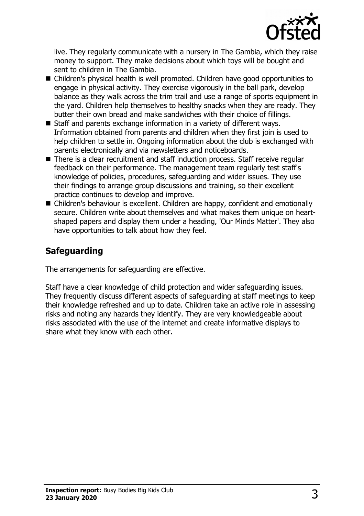

live. They regularly communicate with a nursery in The Gambia, which they raise money to support. They make decisions about which toys will be bought and sent to children in The Gambia.

- Children's physical health is well promoted. Children have good opportunities to engage in physical activity. They exercise vigorously in the ball park, develop balance as they walk across the trim trail and use a range of sports equipment in the yard. Children help themselves to healthy snacks when they are ready. They butter their own bread and make sandwiches with their choice of fillings.
- $\blacksquare$  Staff and parents exchange information in a variety of different ways. Information obtained from parents and children when they first join is used to help children to settle in. Ongoing information about the club is exchanged with parents electronically and via newsletters and noticeboards.
- There is a clear recruitment and staff induction process. Staff receive regular feedback on their performance. The management team regularly test staff's knowledge of policies, procedures, safeguarding and wider issues. They use their findings to arrange group discussions and training, so their excellent practice continues to develop and improve.
- Children's behaviour is excellent. Children are happy, confident and emotionally secure. Children write about themselves and what makes them unique on heartshaped papers and display them under a heading, 'Our Minds Matter'. They also have opportunities to talk about how they feel.

## **Safeguarding**

The arrangements for safeguarding are effective.

Staff have a clear knowledge of child protection and wider safeguarding issues. They frequently discuss different aspects of safeguarding at staff meetings to keep their knowledge refreshed and up to date. Children take an active role in assessing risks and noting any hazards they identify. They are very knowledgeable about risks associated with the use of the internet and create informative displays to share what they know with each other.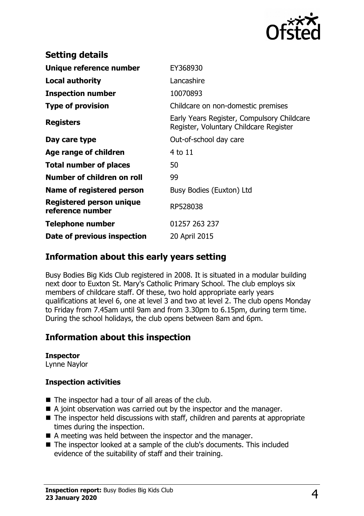

| EY368930                                                                             |  |
|--------------------------------------------------------------------------------------|--|
| Lancashire                                                                           |  |
| 10070893                                                                             |  |
| Childcare on non-domestic premises                                                   |  |
| Early Years Register, Compulsory Childcare<br>Register, Voluntary Childcare Register |  |
| Out-of-school day care                                                               |  |
| 4 to 11                                                                              |  |
| 50                                                                                   |  |
| 99                                                                                   |  |
| Busy Bodies (Euxton) Ltd                                                             |  |
| RP528038                                                                             |  |
| 01257 263 237                                                                        |  |
| 20 April 2015                                                                        |  |
|                                                                                      |  |

## **Information about this early years setting**

Busy Bodies Big Kids Club registered in 2008. It is situated in a modular building next door to Euxton St. Mary's Catholic Primary School. The club employs six members of childcare staff. Of these, two hold appropriate early years qualifications at level 6, one at level 3 and two at level 2. The club opens Monday to Friday from 7.45am until 9am and from 3.30pm to 6.15pm, during term time. During the school holidays, the club opens between 8am and 6pm.

## **Information about this inspection**

#### **Inspector**

Lynne Naylor

#### **Inspection activities**

- $\blacksquare$  The inspector had a tour of all areas of the club.
- $\blacksquare$  A joint observation was carried out by the inspector and the manager.
- $\blacksquare$  The inspector held discussions with staff, children and parents at appropriate times during the inspection.
- $\blacksquare$  A meeting was held between the inspector and the manager.
- The inspector looked at a sample of the club's documents. This included evidence of the suitability of staff and their training.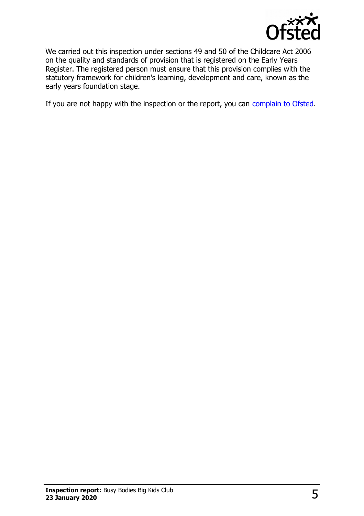

We carried out this inspection under sections 49 and 50 of the Childcare Act 2006 on the quality and standards of provision that is registered on the Early Years Register. The registered person must ensure that this provision complies with the statutory framework for children's learning, development and care, known as the early years foundation stage.

If you are not happy with the inspection or the report, you can [complain to Ofsted.](http://www.gov.uk/complain-ofsted-report)